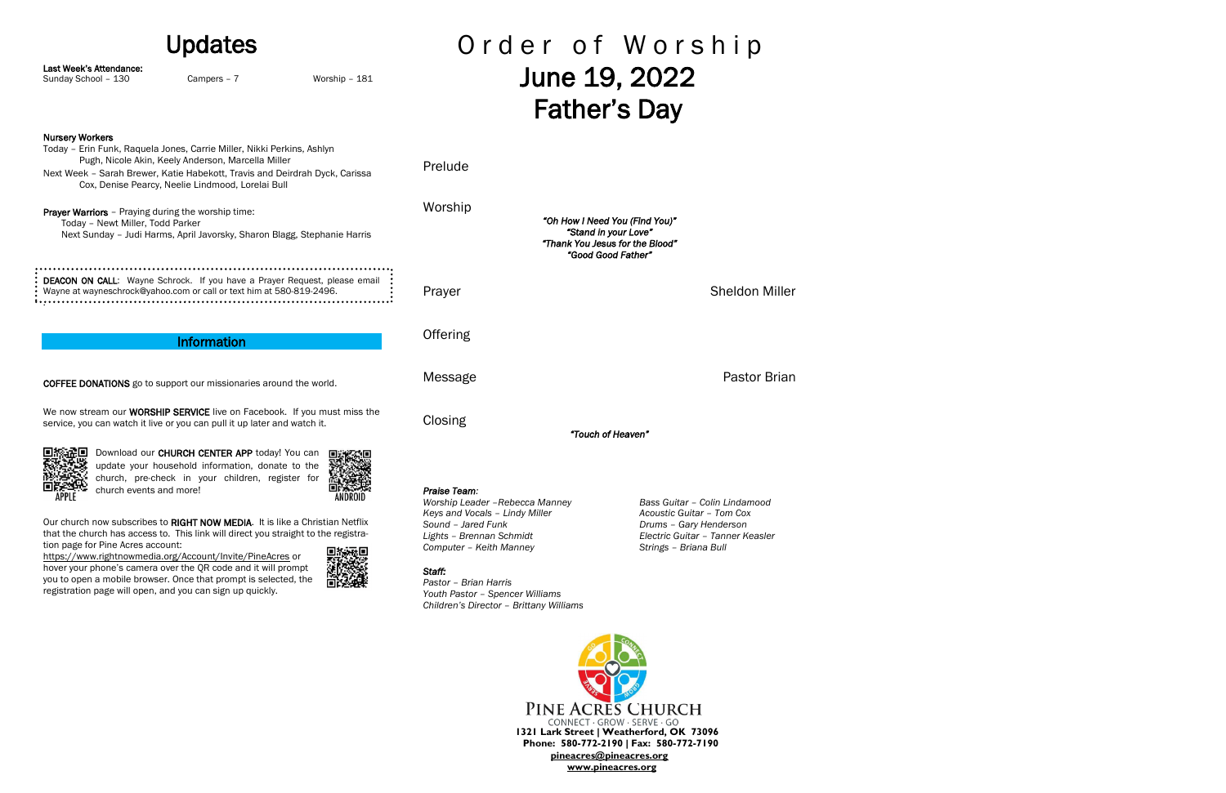# Updates

|                                                                                                                                                                                                                                                                                                                                                                                                                                                                                                                                                                                                                                                                                             | <b>Updates</b>                                                           | Order of Worship                                                                                                                                                                                                                     |                              |                                                                                                                                                   |                                                                                                                 |                       |
|---------------------------------------------------------------------------------------------------------------------------------------------------------------------------------------------------------------------------------------------------------------------------------------------------------------------------------------------------------------------------------------------------------------------------------------------------------------------------------------------------------------------------------------------------------------------------------------------------------------------------------------------------------------------------------------------|--------------------------------------------------------------------------|--------------------------------------------------------------------------------------------------------------------------------------------------------------------------------------------------------------------------------------|------------------------------|---------------------------------------------------------------------------------------------------------------------------------------------------|-----------------------------------------------------------------------------------------------------------------|-----------------------|
| Last Week's Attendance:<br>Sunday School - 130                                                                                                                                                                                                                                                                                                                                                                                                                                                                                                                                                                                                                                              | Campers - 7                                                              | Worship - 181                                                                                                                                                                                                                        |                              |                                                                                                                                                   | June 19, 2022<br><b>Father's Day</b>                                                                            |                       |
| <b>Nursery Workers</b><br>Today - Erin Funk, Raquela Jones, Carrie Miller, Nikki Perkins, Ashlyn<br>Pugh, Nicole Akin, Keely Anderson, Marcella Miller<br>Next Week - Sarah Brewer, Katie Habekott, Travis and Deirdrah Dyck, Carissa<br>Cox, Denise Pearcy, Neelie Lindmood, Lorelai Bull<br>Prayer Warriors - Praying during the worship time:<br>Today - Newt Miller, Todd Parker<br>Next Sunday - Judi Harms, April Javorsky, Sharon Blagg, Stephanie Harris                                                                                                                                                                                                                            |                                                                          |                                                                                                                                                                                                                                      | Prelude<br>Worship           |                                                                                                                                                   | "Oh How I Need You (Find You)"<br>"Stand in your Love"<br>"Thank You Jesus for the Blood"<br>"Good Good Father" |                       |
| DEACON ON CALL: Wayne Schrock. If you have a Prayer Request, please email<br>Wayne at wayneschrock@yahoo.com or call or text him at 580-819-2496.                                                                                                                                                                                                                                                                                                                                                                                                                                                                                                                                           |                                                                          |                                                                                                                                                                                                                                      | Prayer                       |                                                                                                                                                   |                                                                                                                 | <b>Sheldon Miller</b> |
|                                                                                                                                                                                                                                                                                                                                                                                                                                                                                                                                                                                                                                                                                             | <b>Information</b>                                                       |                                                                                                                                                                                                                                      | Offering                     |                                                                                                                                                   |                                                                                                                 |                       |
|                                                                                                                                                                                                                                                                                                                                                                                                                                                                                                                                                                                                                                                                                             | <b>COFFEE DONATIONS</b> go to support our missionaries around the world. |                                                                                                                                                                                                                                      | Message                      |                                                                                                                                                   |                                                                                                                 | Pastor Brian          |
| We now stream our <b>WORSHIP SERVICE</b> live on Facebook. If you must miss the<br>service, you can watch it live or you can pull it up later and watch it.                                                                                                                                                                                                                                                                                                                                                                                                                                                                                                                                 |                                                                          |                                                                                                                                                                                                                                      | Closing<br>"Touch of Heaven" |                                                                                                                                                   |                                                                                                                 |                       |
| Download our CHURCH CENTER APP today! You can<br>update your household information, donate to the<br>church, pre-check in your children, register for<br>间歇动态<br>回路交换<br>church events and more!<br><b>ANDROID</b><br>Our church now subscribes to RIGHT NOW MEDIA. It is like a Christian Netflix<br>that the church has access to. This link will direct you straight to the registra-<br>tion page for Pine Acres account:<br>https://www.rightnowmedia.org/Account/Invite/PineAcres or<br>hover your phone's camera over the QR code and it will prompt<br>you to open a mobile browser. Once that prompt is selected, the<br>registration page will open, and you can sign up quickly. |                                                                          | Praise Team:<br>Worship Leader - Rebecca Manney<br>Keys and Vocals - Lindy Miller<br>Sound - Jared Funk<br>Lights - Brennan Schmidt<br>Computer - Keith Manney<br>Staff:<br>Pastor - Brian Harris<br>Youth Pastor - Spencer Williams |                              | Bass Guitar - Colin Lindamood<br>Acoustic Guitar - Tom Cox<br>Drums - Gary Henderson<br>Electric Guitar - Tanner Keasler<br>Strings - Briana Bull |                                                                                                                 |                       |

**PINE ACRES CHURCH**<br>
CONNECT · GROW · SERVE · GO<br> **1321 Lark Street | Weatherford, OK 73096 Phone: 580-772-2190 | Fax: 580-772-7190 [pineacres@pineacres.org](mailto:pineacres@pineacres.org) [www.pineacres.org](http://www.pineacres.org/)**

*Children's Director – Brittany Williams*